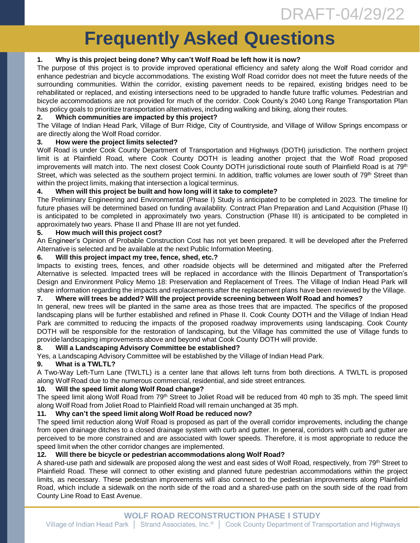# **Frequently Asked Questions**

## **1. Why is this project being done? Why can't Wolf Road be left how it is now?**

The purpose of this project is to provide improved operational efficiency and safety along the Wolf Road corridor and enhance pedestrian and bicycle accommodations. The existing Wolf Road corridor does not meet the future needs of the surrounding communities. Within the corridor, existing pavement needs to be repaired, existing bridges need to be rehabilitated or replaced, and existing intersections need to be upgraded to handle future traffic volumes. Pedestrian and bicycle accommodations are not provided for much of the corridor. Cook County's 2040 Long Range Transportation Plan has policy goals to prioritize transportation alternatives, including walking and biking, along their routes.

## **2. Which communities are impacted by this project?**

The Village of Indian Head Park, Village of Burr Ridge, City of Countryside, and Village of Willow Springs encompass or are directly along the Wolf Road corridor.

#### **3. How were the project limits selected?**

Wolf Road is under Cook County Department of Transportation and Highways (DOTH) jurisdiction. The northern project limit is at Plainfield Road, where Cook County DOTH is leading another project that the Wolf Road proposed improvements will match into. The next closest Cook County DOTH jurisdictional route south of Plainfield Road is at 79<sup>th</sup> Street, which was selected as the southern project termini. In addition, traffic volumes are lower south of 79<sup>th</sup> Street than within the project limits, making that intersection a logical terminus.

## **4. When will this project be built and how long will it take to complete?**

The Preliminary Engineering and Environmental (Phase I) Study is anticipated to be completed in 2023. The timeline for future phases will be determined based on funding availability. Contract Plan Preparation and Land Acquisition (Phase II) is anticipated to be completed in approximately two years. Construction (Phase III) is anticipated to be completed in approximately two years. Phase II and Phase III are not yet funded.

#### **5. How much will this project cost?**

An Engineer's Opinion of Probable Construction Cost has not yet been prepared. It will be developed after the Preferred Alternative is selected and be available at the next Public Information Meeting.

#### **6. Will this project impact my tree, fence, shed, etc.?**

Impacts to existing trees, fences, and other roadside objects will be determined and mitigated after the Preferred Alternative is selected. Impacted trees will be replaced in accordance with the Illinois Department of Transportation's Design and Environment Policy Memo 18: Preservation and Replacement of Trees. The Village of Indian Head Park will share information regarding the impacts and replacements after the replacement plans have been reviewed by the Village.

#### **7. Where will trees be added? Will the project provide screening between Wolf Road and homes?**

In general, new trees will be planted in the same area as those trees that are impacted. The specifics of the proposed landscaping plans will be further established and refined in Phase II. Cook County DOTH and the Village of Indian Head Park are committed to reducing the impacts of the proposed roadway improvements using landscaping. Cook County DOTH will be responsible for the restoration of landscaping, but the Village has committed the use of Village funds to provide landscaping improvements above and beyond what Cook County DOTH will provide.

#### **8. Will a Landscaping Advisory Committee be established?**

Yes, a Landscaping Advisory Committee will be established by the Village of Indian Head Park.

#### **9. What is a TWLTL?**

A Two-Way Left-Turn Lane (TWLTL) is a center lane that allows left turns from both directions. A TWLTL is proposed along Wolf Road due to the numerous commercial, residential, and side street entrances.

## **10. Will the speed limit along Wolf Road change?**

The speed limit along Wolf Road from 79<sup>th</sup> Street to Joliet Road will be reduced from 40 mph to 35 mph. The speed limit along Wolf Road from Joliet Road to Plainfield Road will remain unchanged at 35 mph.

#### **11. Why can't the speed limit along Wolf Road be reduced now?**

The speed limit reduction along Wolf Road is proposed as part of the overall corridor improvements, including the change from open drainage ditches to a closed drainage system with curb and gutter. In general, corridors with curb and gutter are perceived to be more constrained and are associated with lower speeds. Therefore, it is most appropriate to reduce the speed limit when the other corridor changes are implemented.

## **12. Will there be bicycle or pedestrian accommodations along Wolf Road?**

A shared-use path and sidewalk are proposed along the west and east sides of Wolf Road, respectively, from 79th Street to Plainfield Road. These will connect to other existing and planned future pedestrian accommodations within the project limits, as necessary. These pedestrian improvements will also connect to the pedestrian improvements along Plainfield Road, which include a sidewalk on the north side of the road and a shared-use path on the south side of the road from County Line Road to East Avenue.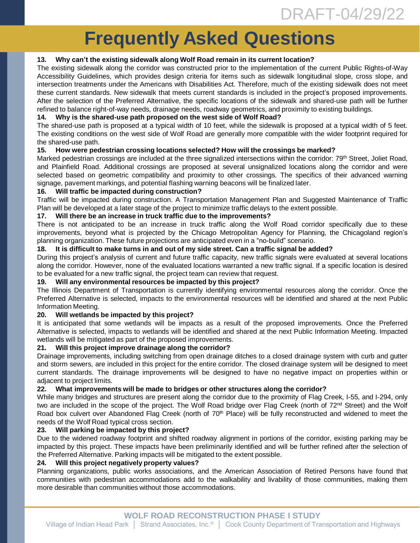# **Frequently Asked Questions**

## **13. Why can't the existing sidewalk along Wolf Road remain in its current location?**

The existing sidewalk along the corridor was constructed prior to the implementation of the current Public Rights-of-Way Accessibility Guidelines, which provides design criteria for items such as sidewalk longitudinal slope, cross slope, and intersection treatments under the Americans with Disabilities Act. Therefore, much of the existing sidewalk does not meet these current standards. New sidewalk that meets current standards is included in the project's proposed improvements. After the selection of the Preferred Alternative, the specific locations of the sidewalk and shared-use path will be further refined to balance right-of-way needs, drainage needs, roadway geometrics, and proximity to existing buildings.

## **14. Why is the shared-use path proposed on the west side of Wolf Road?**

The shared-use path is proposed at a typical width of 10 feet, while the sidewalk is proposed at a typical width of 5 feet. The existing conditions on the west side of Wolf Road are generally more compatible with the wider footprint required for the shared-use path.

#### **15. How were pedestrian crossing locations selected? How will the crossings be marked?**

Marked pedestrian crossings are included at the three signalized intersections within the corridor: 79<sup>th</sup> Street, Joliet Road, and Plainfield Road. Additional crossings are proposed at several unsignalized locations along the corridor and were selected based on geometric compatibility and proximity to other crossings. The specifics of their advanced warning signage, pavement markings, and potential flashing warning beacons will be finalized later.

#### **16. Will traffic be impacted during construction?**

Traffic will be impacted during construction. A Transportation Management Plan and Suggested Maintenance of Traffic Plan will be developed at a later stage of the project to minimize traffic delays to the extent possible.

#### **17. Will there be an increase in truck traffic due to the improvements?**

There is not anticipated to be an increase in truck traffic along the Wolf Road corridor specifically due to these improvements, beyond what is projected by the Chicago Metropolitan Agency for Planning, the Chicagoland region's planning organization. These future projections are anticipated even in a "no-build" scenario.

#### 18. It is difficult to make turns in and out of my side street. Can a traffic signal be added?

During this project's analysis of current and future traffic capacity, new traffic signals were evaluated at several locations along the corridor. However, none of the evaluated locations warranted a new traffic signal. If a specific location is desired to be evaluated for a new traffic signal, the project team can review that request.

#### **19. Will any environmental resources be impacted by this project?**

The Illinois Department of Transportation is currently identifying environmental resources along the corridor. Once the Preferred Alternative is selected, impacts to the environmental resources will be identified and shared at the next Public Information Meeting.

#### **20. Will wetlands be impacted by this project?**

It is anticipated that some wetlands will be impacts as a result of the proposed improvements. Once the Preferred Alternative is selected, impacts to wetlands will be identified and shared at the next Public Information Meeting. Impacted wetlands will be mitigated as part of the proposed improvements.

#### **21. Will this project improve drainage along the corridor?**

Drainage improvements, including switching from open drainage ditches to a closed drainage system with curb and gutter and storm sewers, are included in this project for the entire corridor. The closed drainage system will be designed to meet current standards. The drainage improvements will be designed to have no negative impact on properties within or adjacent to project limits.

#### **22. What improvements will be made to bridges or other structures along the corridor?**

While many bridges and structures are present along the corridor due to the proximity of Flag Creek, I-55, and I-294, only two are included in the scope of the project. The Wolf Road bridge over Flag Creek (north of 72<sup>nd</sup> Street) and the Wolf Road box culvert over Abandoned Flag Creek (north of 70<sup>th</sup> Place) will be fully reconstructed and widened to meet the needs of the Wolf Road typical cross section.

#### **23. Will parking be impacted by this project?**

Due to the widened roadway footprint and shifted roadway alignment in portions of the corridor, existing parking may be impacted by this project. These impacts have been preliminarily identified and will be further refined after the selection of the Preferred Alternative. Parking impacts will be mitigated to the extent possible.

#### **24. Will this project negatively property values?**

Planning organizations, public works associations, and the American Association of Retired Persons have found that communities with pedestrian accommodations add to the walkability and livability of those communities, making them more desirable than communities without those accommodations.